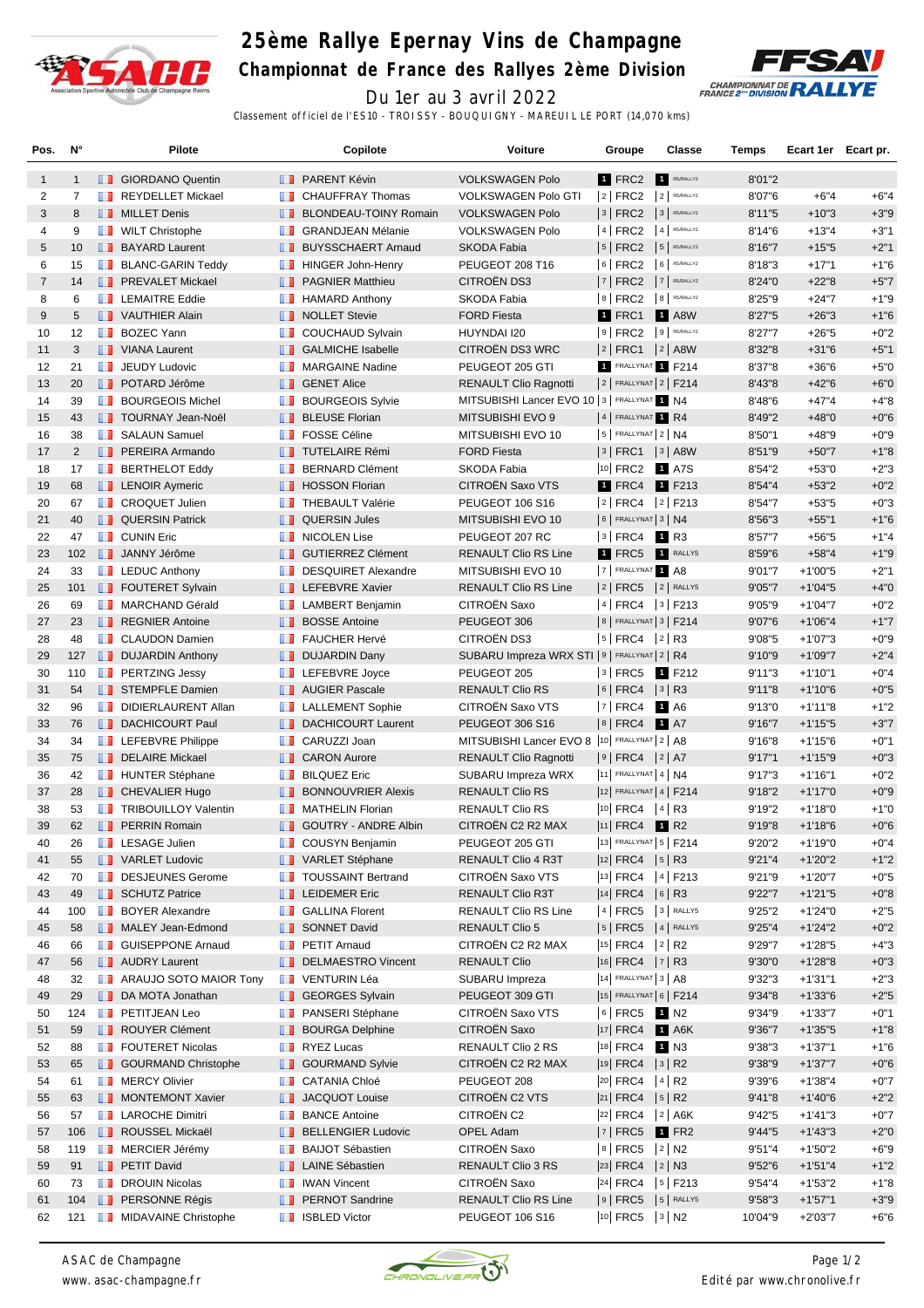

## **25ème Rallye Epernay Vins de Champagne Championnat de France des Rallyes 2ème Division**



Du 1er au 3 avril 2022

Classement officiel de l'ES10 - TROISSY - BOUQUIGNY - MAREUIL LE PORT (14,070 kms)

| Pos.           | N°             |   | Pilote                                      |                   | Copilote                                  | <b>Voiture</b>                                  | Groupe                                 | Classe               | Temps            | Ecart 1er Ecart pr.    |                  |
|----------------|----------------|---|---------------------------------------------|-------------------|-------------------------------------------|-------------------------------------------------|----------------------------------------|----------------------|------------------|------------------------|------------------|
| $\mathbf{1}$   | $\mathbf{1}$   |   | <b>B</b> GIORDANO Quentin                   |                   | <b>FRARENT Kévin</b>                      | <b>VOLKSWAGEN Polo</b>                          | 1 FRC2                                 | R5/RALLY2            | 8'01"2           |                        |                  |
| 2              | 7              |   | <b>REYDELLET Mickael</b>                    | ш                 | <b>CHAUFFRAY Thomas</b>                   | <b>VOLKSWAGEN Polo GTI</b>                      | $ 2 $ FRC2                             | $2$ R5/RALLY2        | 8'07"6           | $+6"4$                 | $+6"4$           |
| 3              | 8              |   | <b>NILLET</b> Denis                         | ш                 | <b>BLONDEAU-TOINY Romain</b>              | <b>VOLKSWAGEN Polo</b>                          | $3$ FRC2                               | 3 R5/RALLY2          | 8'11"5           | $+10"3$                | $+3"9$           |
| 4              | 9              |   | <b>NILT</b> Christophe                      | <b>The Co</b>     | <b>GRANDJEAN Mélanie</b>                  | <b>VOLKSWAGEN Polo</b>                          | 4 FRC2                                 | 4 R5/RALLY2          | 8'14"6           | $+13"4$                | $+3"1$           |
| 5              | 10             |   | <b>BAYARD Laurent</b>                       | <b>H.H.</b>       | <b>BUYSSCHAERT Arnaud</b>                 | SKODA Fabia                                     | $5$ FRC2                               | 5 R5/RALLY2          | 8'16"7           | $+15"5$                | $+2"1$           |
| 6              | 15             |   | <b>BLANC-GARIN Teddy</b>                    |                   | <b>HINGER John-Henry</b>                  | PEUGEOT 208 T16                                 | $6$ FRC2                               | 6 R5/RALLY2          | 8'18"3           | $+17"1$                | $+1"6$           |
| $\overline{7}$ | 14             |   | <b>FREVALET Mickael</b>                     | ш                 | <b>PAGNIER Matthieu</b>                   | CITROËN DS3                                     | 7   FRC2                               | 7 R5/RALLY2          | 8'24"0           | $+22"8$                | $+5"7$           |
| 8              | 6              |   | <b>T</b> LEMAITRE Eddie                     | ш                 | <b>HAMARD Anthony</b>                     | <b>SKODA Fabia</b>                              | $8$ FRC2                               | 8 R5/RALLY2          | 8'25"9           | $+24"7$                | $+1"9$           |
| 9              | 5              |   | VAUTHIER Alain                              |                   | <b>NOLLET</b> Stevie                      | <b>FORD Fiesta</b>                              | 1 FRC1                                 | <b>1</b> A8W         | 8'27"5           | $+26"3$                | $+1"6$           |
| 10             | 12             |   | <b>BOZEC Yann</b>                           |                   | COUCHAUD Sylvain                          | HUYNDAI I20                                     | $ 9 $ FRC2                             | 9 R5/RALLY2          | 8'27"7           | $+26"5$                | $+0"2$           |
| 11             | 3              |   | <b>U</b> VIANA Laurent                      | <b>II</b>         | <b>GALMICHE Isabelle</b>                  | CITROËN DS3 WRC                                 | $ 2 $ FRC1 $ 2 $ A8W                   |                      | 8'32"8           | $+31"6$                | $+5"1$           |
| 12             | 21             |   | <b>T</b> JEUDY Ludovic                      |                   | <b>NARGAINE Nadine</b>                    | PEUGEOT 205 GTI                                 | 1 FRALLYNAT 1 F214                     |                      | 8'37"8           | $+36"6$                | $+5"0$           |
| 13             | 20             |   | <b>DE POTARD Jérôme</b>                     | <b>ILLE</b>       | <b>GENET Alice</b>                        | <b>RENAULT Clio Ragnotti</b>                    | $2$ FRALLYNAT $2$ F214                 |                      | 8'43"8           | $+42"6$                | $+6"0$           |
| 14             | 39             |   | <b>BOURGEOIS Michel</b>                     | m                 | <b>BOURGEOIS Sylvie</b>                   | MITSUBISHI Lancer EVO 10   3   FRALLYNAT 1 N4   |                                        |                      | 8'48"6           | $+47"4$                | $+4"8$           |
| 15             | 43             |   | <b>TOURNAY Jean-Noël</b>                    |                   | <b>BLEUSE Florian</b>                     | MITSUBISHI EVO 9                                | 4 FRALLYNAT 1 R4                       |                      | 8'49"2           | $+48"0$                | $+0"6$           |
| 16             | 38             |   | <b>B</b> SALAUN Samuel                      | ш                 | <b>FOSSE Céline</b>                       | MITSUBISHI EVO 10                               | $5$ FRALLYNAT $2$ N4                   |                      | 8'50"1           | $+48"9$                | $+0"9$           |
| 17             | $\overline{2}$ |   | <b>PEREIRA Armando</b>                      |                   | <b>TUTELAIRE Rémi</b>                     | <b>FORD Fiesta</b>                              | $ 3 $ FRC1 $ 3 $ A8W                   |                      | 8'51"9           | $+50"7$                | $+1"8$           |
| 18             | 17             |   | <b>BERTHELOT Eddy</b>                       | <b>ILL B</b>      | <b>BERNARD Clément</b>                    | <b>SKODA Fabia</b>                              | 10 FRC2 1 A7S                          |                      | 8'54"2           | $+53"0$                | $+2"3$           |
| 19             | 68             |   | <b>EXP</b> LENOIR Aymeric                   |                   | <b>B</b> HOSSON Florian                   | CITROËN Saxo VTS                                | 1 FRC4 1 F213                          |                      | 8'54"4           | $+53"2$                | $+0"2$           |
| 20             | 67             |   | <b>T</b> CROQUET Julien                     | <b>BOOK</b>       | <b>THEBAULT Valérie</b>                   | PEUGEOT 106 S16                                 | 2 FRC4 2 F213                          |                      | 8'54"7           | $+53"5$                | $+0"3$           |
| 21             | 40             |   | <b>QUERSIN Patrick</b>                      |                   | <b>QUERSIN Jules</b>                      | MITSUBISHI EVO 10                               | $6$ FRALLYNAT 3 N4                     |                      | 8'56"3           | $+55"1$                | $+1"6$           |
| 22             | 47             |   | <b>CUNIN Eric</b>                           | w                 | <b>NICOLEN Lise</b>                       | PEUGEOT 207 RC                                  | $ 3 $ FRC4 1 R3                        |                      | 8'57"7           | $+56"5$                | $+1"4$           |
| 23             | 102            |   | <b>JANNY Jérôme</b>                         | <b>ILLE</b>       | <b>GUTIERREZ Clément</b>                  | <b>RENAULT Clio RS Line</b>                     | 1 FRC5                                 | RALLY5               | 8'59"6           | $+58"4$                | $+1"9$           |
| 24             | 33             |   | $\blacksquare$ LEDUC Anthony                | m                 | <b>DESQUIRET Alexandre</b>                | MITSUBISHI EVO 10                               | 7 FRALLYNAT 1 A8                       |                      | 9'01"7           | $+1'00"5$              | $+2"1$           |
| 25             | 101            |   | <b>FOUTERET Sylvain</b>                     |                   | <b>Example FEBVRE Xavier</b>              | <b>RENAULT Clio RS Line</b>                     | $ 2 $ FRC5                             | $2$ RALLY5           | 9'05"7           | $+1'04''5$             | $+4"0$           |
| 26             | 69             |   | MARCHAND Gérald                             |                   | <b>EXP</b> LAMBERT Benjamin               | CITROËN Saxo                                    | 4   FRC4   3   F213                    |                      | 9'05"9           | $+1'04''7$             | $+0"2$           |
| 27             | 23             |   | <b>REGNIER Antoine</b>                      | <b>II</b>         | <b>BOSSE Antoine</b>                      | PEUGEOT 306                                     | 8   FRALLYNAT 3   F214                 |                      | 9'07"6           | $+1'06''4$             | $+1"7$           |
| 28             | 48             |   | <b>CLAUDON Damien</b>                       | w                 | <b>FAUCHER Hervé</b>                      | CITROËN DS3                                     | $ 5 $ FRC4                             | 2 R3                 | 9'08"5           | $+1'07"3$              | $+0"9$           |
| 29             | 127            |   | <b>DUJARDIN Anthony</b>                     |                   | <b>DUJARDIN Dany</b>                      | SUBARU Impreza WRX STI   9   FRALLYNAT   2   R4 |                                        |                      | 9'10"9           | $+1'09''7$             | $+2"4$           |
| 30             | 110            |   | <b>PERTZING Jessy</b>                       |                   | <b>LEFEBVRE</b> Joyce                     | PEUGEOT 205                                     | 3 FRC5                                 | 1 F212               | 9'11''3          | $+1'10"1$              | $+0"4$           |
| 31             | 54             |   | STEMPFLE Damien                             |                   | <b>AUGIER Pascale</b>                     | <b>RENAULT Clio RS</b>                          | $ 6 $ FRC4 $ 3 $ R3                    |                      | 9'11"8           | $+1'10"6$              | $+0"5$           |
| 32             | 96             |   | DIDIERLAURENT Allan                         |                   | <b>EXECUTE LALLEMENT Sophie</b>           | CITROËN Saxo VTS                                | $ 7 $ FRC4 1 A6                        |                      | 9'13"0           | $+1'11''8$             | $+1"2$           |
| 33             | 76             |   | <b>DACHICOURT Paul</b>                      | ш                 | <b>DACHICOURT Laurent</b>                 | <b>PEUGEOT 306 S16</b>                          | $ 8 $ FRC4                             | <b>1</b> A7          | 9'16"7           | $+1'15"5$              | $+3"7$           |
| 34             | 34             |   | <b>LEFEBVRE Philippe</b>                    | <b>THE R</b>      | CARUZZI Joan                              | MITSUBISHI Lancer EVO 8  10 FRALLYNAT 2   A8    |                                        |                      | 9'16"8           | $+1'15"6$              | $+0"1$           |
| 35             | 75             |   | DELAIRE Mickael                             |                   | <b>T</b> CARON Aurore                     | <b>RENAULT Clio Ragnotti</b>                    | $ 9 $ FRC4 $ 2 $ A7                    |                      | 9'17"1           | $+1'15''9$             | $+0"3$           |
| 36             | 42             |   | <b>HUNTER Stéphane</b>                      | m                 | <b>BILQUEZ Eric</b>                       | SUBARU Impreza WRX                              | 11 FRALLYNAT 4   $N4$                  |                      | 9'17''3          | $+1'16"1$              | $+0"2$           |
| 37             | 28             |   | <b>CHEVALIER Hugo</b>                       | ш                 | <b>BONNOUVRIER Alexis</b>                 | <b>RENAULT Clio RS</b>                          | 12 FRALLYNAT 4   F214                  |                      | 9'18"2           | $+1'17"0$              | $+0"9$           |
| 38             | 53             |   | <b>TRIBOUILLOY Valentin</b>                 | <b>The Second</b> | <b>MATHELIN Florian</b>                   | <b>RENAULT Clio RS</b>                          | 10 FRC4                                | $ 4 $ R <sub>3</sub> | 9'19"2           | $+1'18"0$              | $+1"0$           |
| 39             | 62             |   | <b>FRAIN Romain</b>                         |                   | <b>GOUTRY - ANDRE Albin</b>               | CITROËN C2 R2 MAX                               | 11 FRC4 1 R2                           |                      | 9'19"8           | $+1'18"6$              | $+0"6$           |
| 40             | 26             | ш | <b>LESAGE Julien</b>                        |                   | COUSYN Benjamin                           | PEUGEOT 205 GTI                                 | 13  FRALLYNAT   5   F214               |                      | 9'20"2           | +1'19"0                | $+0"4$           |
| 41             | 55             |   | VARLET Ludovic                              |                   | VARLET Stéphane                           | RENAULT Clio 4 R3T                              | $ 12 $ FRC4 $ 5 $ R3                   |                      | 9'21"4           | $+1'20"2$              | $+1"2$           |
| 42             | 70             |   | DESJEUNES Gerome                            | <b>ILL B</b>      | <b>TOUSSAINT Bertrand</b>                 | CITROËN Saxo VTS                                | <sup>13</sup> FRC4                     | $ 4 $ F213           | 9'21"9           | +1'20"7                | $+0"5$           |
| 43             | 49             |   | SCHUTZ Patrice                              |                   | <b>LEIDEMER Eric</b>                      | RENAULT Clio R3T                                | $ 14 $ FRC4                            | $ 6 $ R3             | 9'22"7           | $+1'21"5$              | $+0"8$           |
| 44             | 100            |   | <b>BOYER Alexandre</b><br>MALEY Jean-Edmond |                   | <b>B</b> GALLINA Florent                  | RENAULT Clio RS Line                            | $ 4 $ FRC5 $ 3 $ RALLY5                |                      | 9'25"2           | $+1'24"0$              | $+2"5$           |
| 45             | 58             |   | <b>B</b> GUISEPPONE Arnaud                  | ш                 | <b>SONNET David</b><br><b>PETIT Amaud</b> | <b>RENAULT Clio 5</b>                           | $ 5 $ FRC5 $ 4 $ RALLY5<br>$ 15 $ FRC4 |                      | 9'25"4           | +1'24"2                | $+0"2$           |
| 46             | 66<br>56       |   | <b>AUDRY Laurent</b>                        | <b>IL 11</b>      | <b>DELMAESTRO Vincent</b>                 | CITROËN C2 R2 MAX<br><b>RENAULT Clio</b>        | 16 FRC4  7   R3                        | $ 2 $ R2             | 9'29"7           | $+1'28"5$              | $+4"3$<br>$+0"3$ |
| 47             | 32             |   | <b>ARAUJO SOTO MAIOR Tony</b>               | m                 | VENTURIN Léa                              | SUBARU Impreza                                  | 14 FRALLYNAT 3   A8                    |                      | 9'30"0<br>9'32"3 | $+1'28''8$             |                  |
| 48<br>49       | 29             |   | DA MOTA Jonathan                            |                   | <b>B</b> GEORGES Sylvain                  | PEUGEOT 309 GTI                                 | 15 FRALLYNAT 6   F214                  |                      | 9'34"8           | $+1'31"1$<br>$+1'33'6$ | $+2"3$<br>$+2"5$ |
| 50             | 124            |   | <b>FETITJEAN Leo</b>                        | w                 | PANSERI Stéphane                          | CITROËN Saxo VTS                                | $ 6 $ FRC5 1 N2                        |                      | 9'34"9           | $+1'33"7$              | $+0"1$           |
| 51             | 59             |   | ROUYER Clément                              | ш                 | <b>BOURGA Delphine</b>                    | CITROËN Saxo                                    | $ 17 $ FRC4                            | $1$ A6K              | 9'36"7           | $+1'35"5$              | $+1"8$           |
| 52             | 88             |   | <b>FOUTERET Nicolas</b>                     |                   | $\blacksquare$ RYEZ Lucas                 | RENAULT Clio 2 RS                               | 18 FRC4 1 N3                           |                      | 9'38"3           | $+1'37"1$              | $+1"6$           |
| 53             | 65             |   | <b>B</b> GOURMAND Christophe                | u n               | <b>GOURMAND Sylvie</b>                    | CITROËN C2 R2 MAX                               | <sup>19</sup> FRC4                     | 3 R2                 | 9'38"9           | $+1'37"7$              | $+0"6$           |
| 54             | 61             |   | <b>NERCY Olivier</b>                        | m                 | <b>CATANIA Chloé</b>                      | PEUGEOT 208                                     | $ 20 $ FRC4                            | $ 4 $ R2             | 9'39"6           | +1'38"4                | $+0"7$           |
| 55             | 63             |   | MONTEMONT Xavier                            |                   | <b>JACQUOT Louise</b>                     | CITROEN C2 VTS                                  | $ 21 $ FRC4 $ 5 $ R2                   |                      | 9'41"8           | $+1'40''6$             | $+2"2$           |
| 56             | 57             |   | <b>LAROCHE Dimitri</b>                      | ш                 | <b>BANCE Antoine</b>                      | CITROËN C2                                      | 22 FRC4                                | $ 2 $ A6K            | 9'42"5           | $+1'41''3$             | $+0"7$           |
| 57             | 106            |   | ROUSSEL Mickaël                             | ш                 | <b>BELLENGIER Ludovic</b>                 | OPEL Adam                                       | $ 7 $ FRC5                             | $1$ FR2              | 9'44"5           | $+1'43''3$             | $+2"0$           |
| 58             | 119            |   | <b>I</b> MERCIER Jérémy                     | <b>The Co</b>     | <b>BAIJOT Sébastien</b>                   | CITROËN Saxo                                    | $8$ FRC5                               | $ 2 $ N2             | 9'51''4          | $+1'50''2$             | $+6"9$           |
| 59             | 91             |   | <b>PETIT David</b>                          | ш                 | <b>LAINE Sébastien</b>                    | RENAULT Clio 3 RS                               | $ 23 $ FRC4 $ 2 $ N3                   |                      | 9'52"6           | $+1'51''4$             | $+1"2$           |
| 60             | 73             |   | DROUIN Nicolas                              | ш                 | <b>IWAN Vincent</b>                       | CITROËN Saxo                                    | $ 24 $ FRC4                            | $5$ F213             | 9'54"4           | $+1'53"2$              | $+1"8$           |
| 61             | 104            |   | <b>PERSONNE Régis</b>                       |                   | <b>PERNOT Sandrine</b>                    | RENAULT Clio RS Line                            | $ 9 $ FRC5 $ 5 $ RALLY5                |                      | 9'58"3           | $+1'57"1$              | $+3"9$           |
| 62             | 121            |   | <b>NIDAVAINE Christophe</b>                 |                   | <b>SBLED Victor</b>                       | PEUGEOT 106 S16                                 | 10 FRC5 3 N2                           |                      | 10'04"9          | $+2'03''7$             | $+6"6$           |